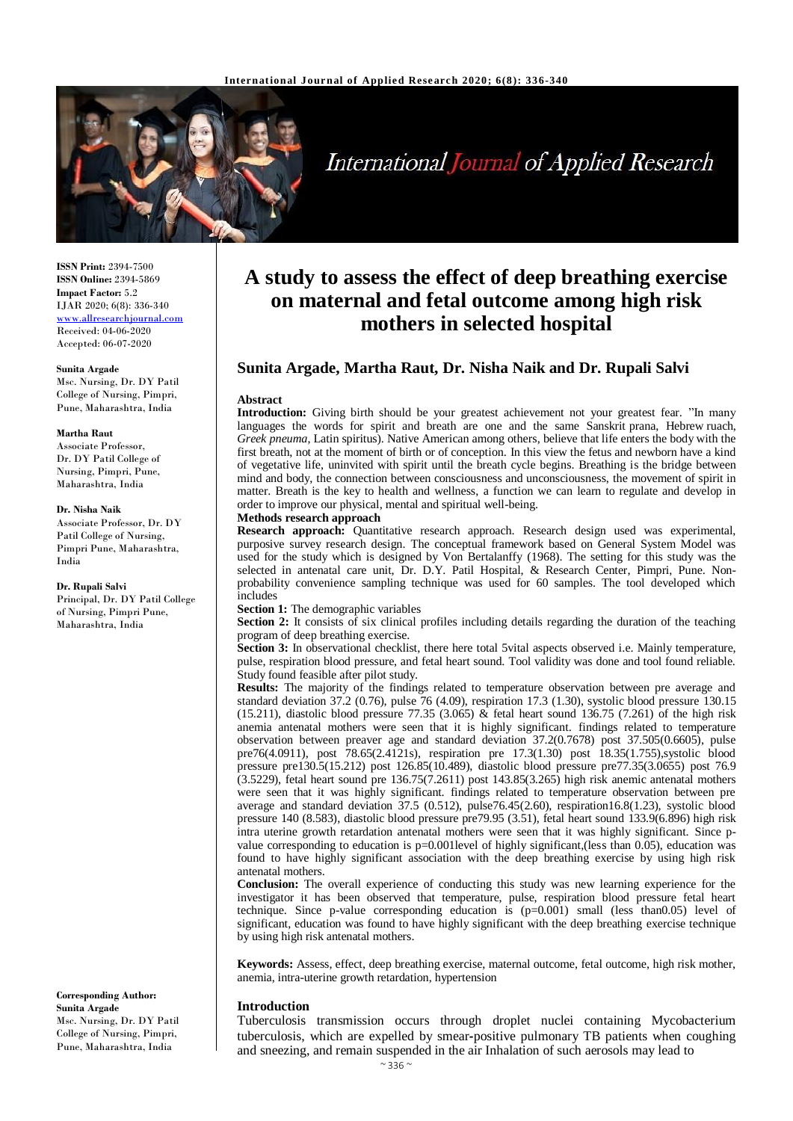

# **International Journal of Applied Research**

**ISSN Print:** 2394-7500 **ISSN Online:** 2394-5869 **Impact Factor:** 5.2 IJAR 2020; 6(8): 336-340 [www.allresearchjournal.com](http://www.allresearchjournal.com/) Received: 04-06-2020 Accepted: 06-07-2020

#### **Sunita Argade**

Msc. Nursing, Dr. DY Patil College of Nursing, Pimpri, Pune, Maharashtra, India

#### **Martha Raut**

Associate Professor, Dr. DY Patil College of Nursing, Pimpri, Pune, Maharashtra, India

#### **Dr. Nisha Naik**

Associate Professor, Dr. DY Patil College of Nursing, Pimpri Pune, Maharashtra, India

#### **Dr. Rupali Salvi**

Principal, Dr. DY Patil College of Nursing, Pimpri Pune, Maharashtra, India

**Corresponding Author: Sunita Argade** Msc. Nursing, Dr. DY Patil College of Nursing, Pimpri, Pune, Maharashtra, India

## **A study to assess the effect of deep breathing exercise on maternal and fetal outcome among high risk mothers in selected hospital**

## **Sunita Argade, Martha Raut, Dr. Nisha Naik and Dr. Rupali Salvi**

#### **Abstract**

**Introduction:** Giving birth should be your greatest achievement not your greatest fear. "In many languages the words for spirit and breath are one and the same Sanskrit prana, Hebrew ruach, *Greek pneuma*, Latin spiritus). Native American among others, believe that life enters the body with the first breath, not at the moment of birth or of conception. In this view the fetus and newborn have a kind of vegetative life, uninvited with spirit until the breath cycle begins. Breathing is the bridge between mind and body, the connection between consciousness and unconsciousness, the movement of spirit in matter. Breath is the key to health and wellness, a function we can learn to regulate and develop in order to improve our physical, mental and spiritual well-being.

#### **Methods research approach**

**Research approach:** Quantitative research approach. Research design used was experimental, purposive survey research design. The conceptual framework based on General System Model was used for the study which is designed by Von Bertalanffy (1968). The setting for this study was the selected in antenatal care unit, Dr. D.Y. Patil Hospital, & Research Center, Pimpri, Pune. Nonprobability convenience sampling technique was used for 60 samples. The tool developed which includes

**Section 1:** The demographic variables

**Section 2:** It consists of six clinical profiles including details regarding the duration of the teaching program of deep breathing exercise.

**Section 3:** In observational checklist, there here total 5vital aspects observed i.e. Mainly temperature, pulse, respiration blood pressure, and fetal heart sound. Tool validity was done and tool found reliable. Study found feasible after pilot study.

**Results:** The majority of the findings related to temperature observation between pre average and standard deviation 37.2 (0.76), pulse 76 (4.09), respiration 17.3 (1.30), systolic blood pressure 130.15 (15.211), diastolic blood pressure 77.35 (3.065)  $\&$  fetal heart sound 136.75 (7.261) of the high risk anemia antenatal mothers were seen that it is highly significant. findings related to temperature observation between preaver age and standard deviation 37.2(0.7678) post 37.505(0.6605), pulse pre76(4.0911), post 78.65(2.4121s), respiration pre 17.3(1.30) post 18.35(1.755),systolic blood pressure pre130.5(15.212) post 126.85(10.489), diastolic blood pressure pre77.35(3.0655) post 76.9 (3.5229), fetal heart sound pre 136.75(7.2611) post 143.85(3.265) high risk anemic antenatal mothers were seen that it was highly significant. findings related to temperature observation between pre average and standard deviation 37.5 (0.512), pulse76.45(2.60), respiration16.8(1.23), systolic blood pressure 140 (8.583), diastolic blood pressure pre79.95 (3.51), fetal heart sound 133.9(6.896) high risk intra uterine growth retardation antenatal mothers were seen that it was highly significant. Since pvalue corresponding to education is p=0.001level of highly significant,(less than 0.05), education was found to have highly significant association with the deep breathing exercise by using high risk antenatal mothers.

**Conclusion:** The overall experience of conducting this study was new learning experience for the investigator it has been observed that temperature, pulse, respiration blood pressure fetal heart technique. Since p-value corresponding education is  $(p=0.001)$  small (less than $0.05$ ) level of significant, education was found to have highly significant with the deep breathing exercise technique by using high risk antenatal mothers.

**Keywords:** Assess, effect, deep breathing exercise, maternal outcome, fetal outcome, high risk mother, anemia, intra-uterine growth retardation, hypertension

#### **Introduction**

Tuberculosis transmission occurs through droplet nuclei containing Mycobacterium tuberculosis, which are expelled by smear*-*positive pulmonary TB patients when coughing and sneezing, and remain suspended in the air Inhalation of such aerosols may lead to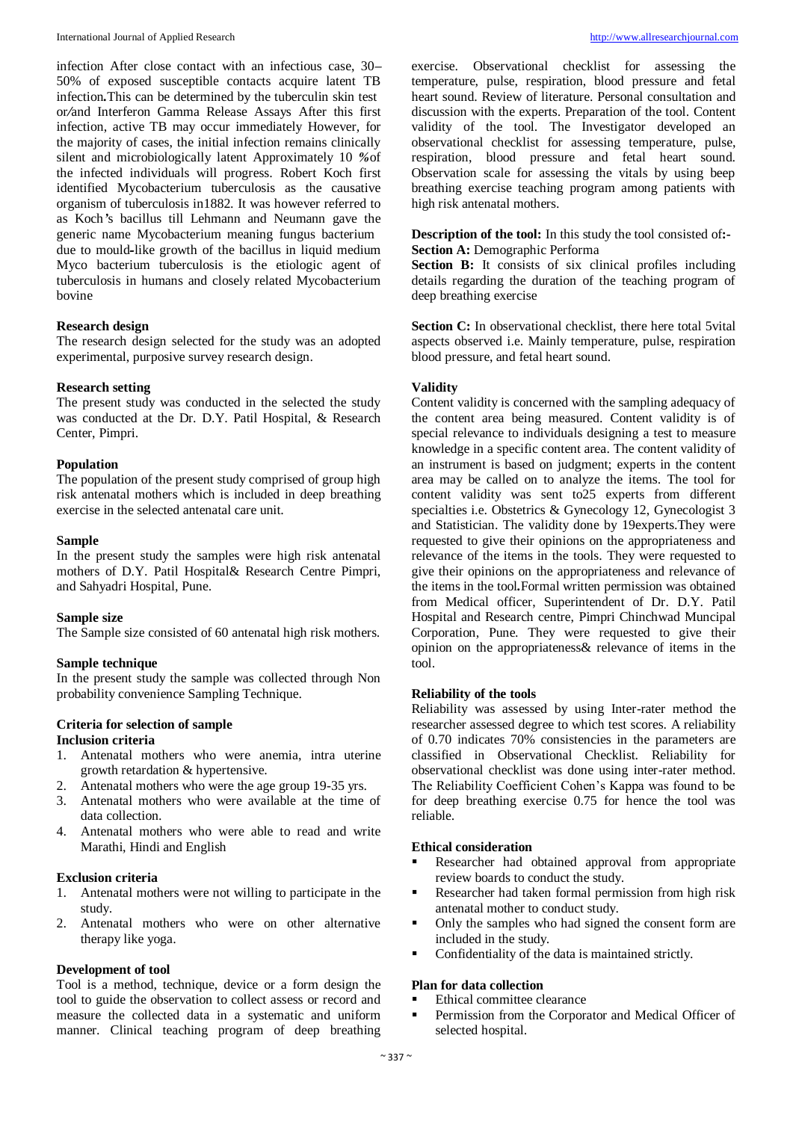infection After close contact with an infectious case, 30**–** 50% of exposed susceptible contacts acquire latent TB infection*.*This can be determined by the tuberculin skin test or*/*and Interferon Gamma Release Assays After this first infection, active TB may occur immediately However, for the majority of cases, the initial infection remains clinically silent and microbiologically latent Approximately 10 *%*of the infected individuals will progress. Robert Koch first identified Mycobacterium tuberculosis as the causative organism of tuberculosis in1882. It was however referred to as Koch*'*s bacillus till Lehmann and Neumann gave the generic name Mycobacterium meaning fungus bacterium due to mould*-*like growth of the bacillus in liquid medium Myco bacterium tuberculosis is the etiologic agent of tuberculosis in humans and closely related Mycobacterium bovine

#### **Research design**

The research design selected for the study was an adopted experimental, purposive survey research design.

#### **Research setting**

The present study was conducted in the selected the study was conducted at the Dr. D.Y. Patil Hospital, & Research Center, Pimpri.

#### **Population**

The population of the present study comprised of group high risk antenatal mothers which is included in deep breathing exercise in the selected antenatal care unit.

#### **Sample**

In the present study the samples were high risk antenatal mothers of D.Y. Patil Hospital& Research Centre Pimpri, and Sahyadri Hospital, Pune.

#### **Sample size**

The Sample size consisted of 60 antenatal high risk mothers.

#### **Sample technique**

In the present study the sample was collected through Non probability convenience Sampling Technique.

### **Criteria for selection of sample**

## **Inclusion criteria**

- 1. Antenatal mothers who were anemia, intra uterine growth retardation & hypertensive.
- 2. Antenatal mothers who were the age group 19-35 yrs.
- 3. Antenatal mothers who were available at the time of data collection.
- 4. Antenatal mothers who were able to read and write Marathi, Hindi and English

#### **Exclusion criteria**

- 1. Antenatal mothers were not willing to participate in the study.
- 2. Antenatal mothers who were on other alternative therapy like yoga.

#### **Development of tool**

Tool is a method, technique, device or a form design the tool to guide the observation to collect assess or record and measure the collected data in a systematic and uniform manner. Clinical teaching program of deep breathing exercise. Observational checklist for assessing the temperature, pulse, respiration, blood pressure and fetal heart sound. Review of literature. Personal consultation and discussion with the experts. Preparation of the tool. Content validity of the tool. The Investigator developed an observational checklist for assessing temperature, pulse, respiration, blood pressure and fetal heart sound. Observation scale for assessing the vitals by using beep breathing exercise teaching program among patients with high risk antenatal mothers.

**Description of the tool:** In this study the tool consisted of**:- Section A:** Demographic Performa

**Section B:** It consists of six clinical profiles including details regarding the duration of the teaching program of deep breathing exercise

Section C: In observational checklist, there here total 5vital aspects observed i.e. Mainly temperature, pulse, respiration blood pressure, and fetal heart sound.

#### **Validity**

Content validity is concerned with the sampling adequacy of the content area being measured. Content validity is of special relevance to individuals designing a test to measure knowledge in a specific content area. The content validity of an instrument is based on judgment; experts in the content area may be called on to analyze the items. The tool for content validity was sent to25 experts from different specialties i.e. Obstetrics & Gynecology 12, Gynecologist 3 and Statistician. The validity done by 19experts.They were requested to give their opinions on the appropriateness and relevance of the items in the tools. They were requested to give their opinions on the appropriateness and relevance of the items in the tool*.*Formal written permission was obtained from Medical officer, Superintendent of Dr. D.Y. Patil Hospital and Research centre, Pimpri Chinchwad Muncipal Corporation, Pune. They were requested to give their opinion on the appropriateness& relevance of items in the tool.

#### **Reliability of the tools**

Reliability was assessed by using Inter-rater method the researcher assessed degree to which test scores. A reliability of 0.70 indicates 70% consistencies in the parameters are classified in Observational Checklist. Reliability for observational checklist was done using inter-rater method. The Reliability Coefficient Cohen's Kappa was found to be for deep breathing exercise 0.75 for hence the tool was reliable.

#### **Ethical consideration**

- Researcher had obtained approval from appropriate review boards to conduct the study.
- Researcher had taken formal permission from high risk antenatal mother to conduct study.
- Only the samples who had signed the consent form are included in the study.
- Confidentiality of the data is maintained strictly.

#### **Plan for data collection**

- Ethical committee clearance
- Permission from the Corporator and Medical Officer of selected hospital.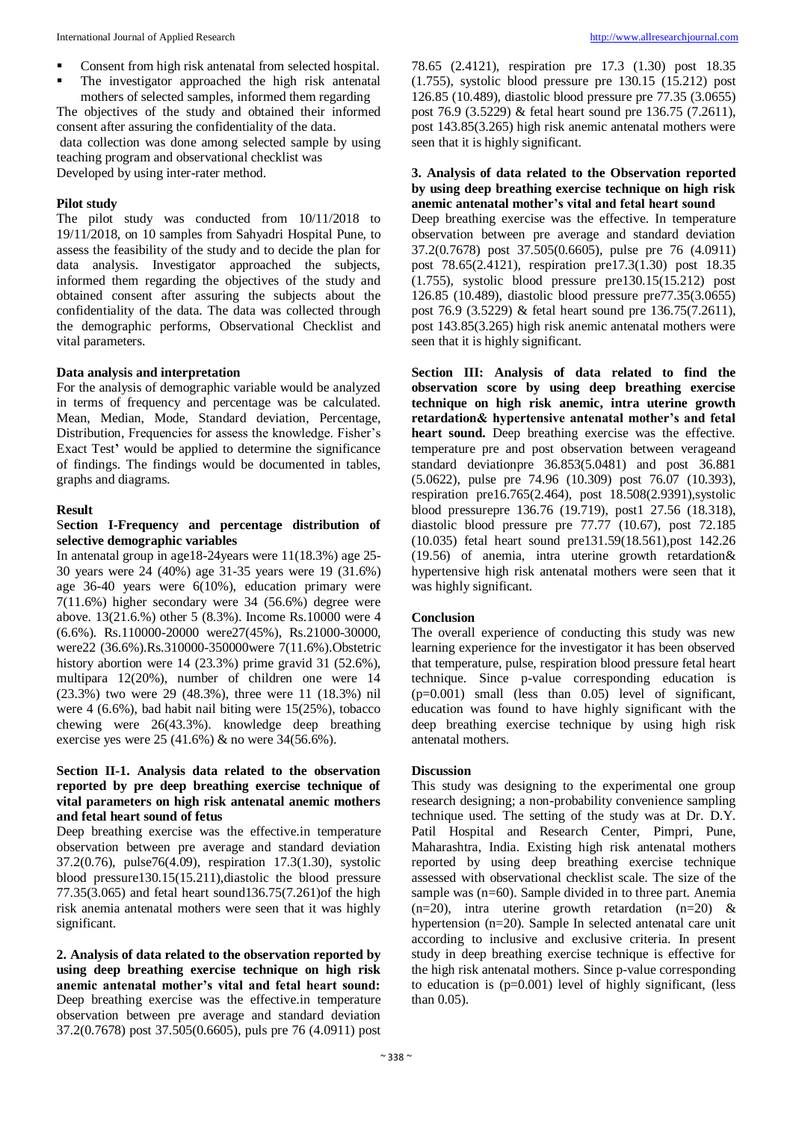- Consent from high risk antenatal from selected hospital.
- The investigator approached the high risk antenatal mothers of selected samples, informed them regarding

The objectives of the study and obtained their informed consent after assuring the confidentiality of the data. data collection was done among selected sample by using teaching program and observational checklist was Developed by using inter-rater method.

#### **Pilot study**

The pilot study was conducted from 10/11/2018 to 19/11/2018, on 10 samples from Sahyadri Hospital Pune, to assess the feasibility of the study and to decide the plan for data analysis. Investigator approached the subjects, informed them regarding the objectives of the study and obtained consent after assuring the subjects about the confidentiality of the data. The data was collected through the demographic performs, Observational Checklist and vital parameters.

#### **Data analysis and interpretation**

For the analysis of demographic variable would be analyzed in terms of frequency and percentage was be calculated. Mean, Median, Mode, Standard deviation, Percentage, Distribution, Frequencies for assess the knowledge. Fisher's Exact Test**'** would be applied to determine the significance of findings. The findings would be documented in tables, graphs and diagrams.

#### **Result**

#### S**ection I-Frequency and percentage distribution of selective demographic variables**

In antenatal group in age18-24years were 11(18.3%) age 25- 30 years were 24 (40%) age 31-35 years were 19 (31.6%) age 36-40 years were 6(10%), education primary were 7(11.6%) higher secondary were 34 (56.6%) degree were above. 13(21.6.%) other 5 (8.3%). Income Rs.10000 were 4 (6.6%). Rs.110000-20000 were27(45%), Rs.21000-30000, were22 (36.6%).Rs.310000-350000were 7(11.6%).Obstetric history abortion were 14 (23.3%) prime gravid 31 (52.6%), multipara 12(20%), number of children one were 14 (23.3%) two were 29 (48.3%), three were 11 (18.3%) nil were 4 (6.6%), bad habit nail biting were 15(25%), tobacco chewing were 26(43.3%). knowledge deep breathing exercise yes were 25 (41.6%) & no were 34(56.6%).

#### **Section II-1. Analysis data related to the observation reported by pre deep breathing exercise technique of vital parameters on high risk antenatal anemic mothers and fetal heart sound of fetus**

Deep breathing exercise was the effective.in temperature observation between pre average and standard deviation 37.2(0.76), pulse76(4.09), respiration 17.3(1.30), systolic blood pressure130.15(15.211),diastolic the blood pressure 77.35(3.065) and fetal heart sound136.75(7.261)of the high risk anemia antenatal mothers were seen that it was highly significant.

**2. Analysis of data related to the observation reported by using deep breathing exercise technique on high risk anemic antenatal mother's vital and fetal heart sound:** Deep breathing exercise was the effective.in temperature observation between pre average and standard deviation 37.2(0.7678) post 37.505(0.6605), puls pre 76 (4.0911) post 78.65 (2.4121), respiration pre 17.3 (1.30) post 18.35 (1.755), systolic blood pressure pre 130.15 (15.212) post 126.85 (10.489), diastolic blood pressure pre 77.35 (3.0655) post 76.9 (3.5229) & fetal heart sound pre 136.75 (7.2611), post 143.85(3.265) high risk anemic antenatal mothers were seen that it is highly significant.

#### **3. Analysis of data related to the Observation reported by using deep breathing exercise technique on high risk anemic antenatal mother's vital and fetal heart sound**

Deep breathing exercise was the effective. In temperature observation between pre average and standard deviation 37.2(0.7678) post 37.505(0.6605), pulse pre 76 (4.0911) post 78.65(2.4121), respiration pre17.3(1.30) post 18.35 (1.755), systolic blood pressure pre130.15(15.212) post 126.85 (10.489), diastolic blood pressure pre77.35(3.0655) post 76.9 (3.5229) & fetal heart sound pre 136.75(7.2611), post 143.85(3.265) high risk anemic antenatal mothers were seen that it is highly significant.

**Section III: Analysis of data related to find the observation score by using deep breathing exercise technique on high risk anemic, intra uterine growth retardation& hypertensive antenatal mother's and fetal heart sound.** Deep breathing exercise was the effective. temperature pre and post observation between verageand standard deviationpre 36.853(5.0481) and post 36.881 (5.0622), pulse pre 74.96 (10.309) post 76.07 (10.393), respiration pre16.765(2.464), post 18.508(2.9391),systolic blood pressurepre 136.76 (19.719), post1 27.56 (18.318), diastolic blood pressure pre 77.77 (10.67), post 72.185 (10.035) fetal heart sound pre131.59(18.561),post 142.26 (19.56) of anemia, intra uterine growth retardation& hypertensive high risk antenatal mothers were seen that it was highly significant.

#### **Conclusion**

The overall experience of conducting this study was new learning experience for the investigator it has been observed that temperature, pulse, respiration blood pressure fetal heart technique. Since p-value corresponding education is  $(p=0.001)$  small (less than 0.05) level of significant, education was found to have highly significant with the deep breathing exercise technique by using high risk antenatal mothers.

#### **Discussion**

This study was designing to the experimental one group research designing; a non-probability convenience sampling technique used. The setting of the study was at Dr. D.Y. Patil Hospital and Research Center, Pimpri, Pune, Maharashtra, India. Existing high risk antenatal mothers reported by using deep breathing exercise technique assessed with observational checklist scale. The size of the sample was (n=60). Sample divided in to three part. Anemia  $(n=20)$ , intra uterine growth retardation  $(n=20)$  & hypertension (n=20). Sample In selected antenatal care unit according to inclusive and exclusive criteria. In present study in deep breathing exercise technique is effective for the high risk antenatal mothers. Since p-value corresponding to education is  $(p=0.001)$  level of highly significant, (less than 0.05).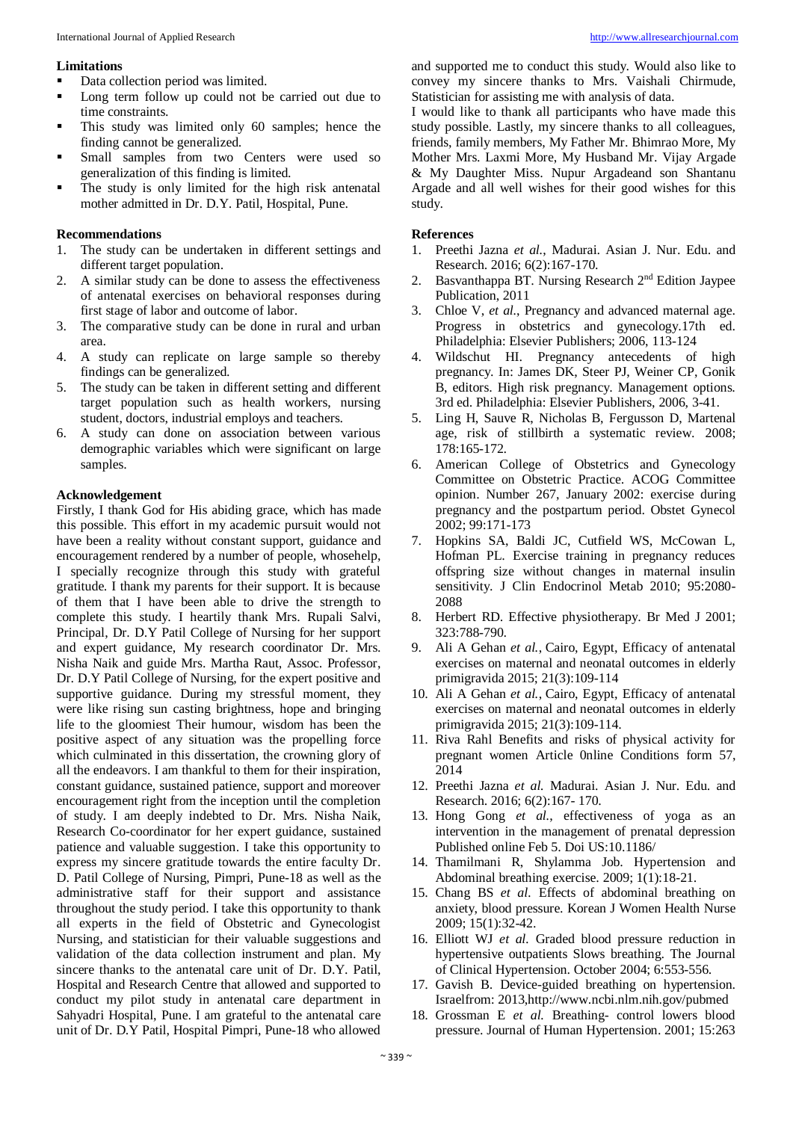#### **Limitations**

- Data collection period was limited.
- Long term follow up could not be carried out due to time constraints.
- This study was limited only 60 samples; hence the finding cannot be generalized.
- Small samples from two Centers were used so generalization of this finding is limited.
- The study is only limited for the high risk antenatal mother admitted in Dr. D.Y. Patil, Hospital, Pune.

#### **Recommendations**

- 1. The study can be undertaken in different settings and different target population.
- 2. A similar study can be done to assess the effectiveness of antenatal exercises on behavioral responses during first stage of labor and outcome of labor.
- 3. The comparative study can be done in rural and urban area.
- 4. A study can replicate on large sample so thereby findings can be generalized.
- 5. The study can be taken in different setting and different target population such as health workers, nursing student, doctors, industrial employs and teachers.
- 6. A study can done on association between various demographic variables which were significant on large samples.

#### **Acknowledgement**

Firstly, I thank God for His abiding grace, which has made this possible. This effort in my academic pursuit would not have been a reality without constant support, guidance and encouragement rendered by a number of people, whosehelp, I specially recognize through this study with grateful gratitude. I thank my parents for their support. It is because of them that I have been able to drive the strength to complete this study. I heartily thank Mrs. Rupali Salvi, Principal, Dr. D.Y Patil College of Nursing for her support and expert guidance, My research coordinator Dr. Mrs. Nisha Naik and guide Mrs. Martha Raut, Assoc. Professor, Dr. D.Y Patil College of Nursing, for the expert positive and supportive guidance. During my stressful moment, they were like rising sun casting brightness, hope and bringing life to the gloomiest Their humour, wisdom has been the positive aspect of any situation was the propelling force which culminated in this dissertation, the crowning glory of all the endeavors. I am thankful to them for their inspiration, constant guidance, sustained patience, support and moreover encouragement right from the inception until the completion of study. I am deeply indebted to Dr. Mrs. Nisha Naik, Research Co-coordinator for her expert guidance, sustained patience and valuable suggestion. I take this opportunity to express my sincere gratitude towards the entire faculty Dr. D. Patil College of Nursing, Pimpri, Pune-18 as well as the administrative staff for their support and assistance throughout the study period. I take this opportunity to thank all experts in the field of Obstetric and Gynecologist Nursing, and statistician for their valuable suggestions and validation of the data collection instrument and plan. My sincere thanks to the antenatal care unit of Dr. D.Y. Patil, Hospital and Research Centre that allowed and supported to conduct my pilot study in antenatal care department in Sahyadri Hospital, Pune. I am grateful to the antenatal care unit of Dr. D.Y Patil, Hospital Pimpri, Pune-18 who allowed

and supported me to conduct this study. Would also like to convey my sincere thanks to Mrs. Vaishali Chirmude, Statistician for assisting me with analysis of data.

I would like to thank all participants who have made this study possible. Lastly, my sincere thanks to all colleagues, friends, family members, My Father Mr. Bhimrao More, My Mother Mrs. Laxmi More, My Husband Mr. Vijay Argade & My Daughter Miss. Nupur Argadeand son Shantanu Argade and all well wishes for their good wishes for this study.

#### **References**

- 1. Preethi Jazna *et al.*, Madurai. Asian J. Nur. Edu. and Research. 2016; 6(2):167-170.
- 2. Basvanthappa BT. Nursing Research 2nd Edition Jaypee Publication, 2011
- 3. Chloe V, *et al.*, Pregnancy and advanced maternal age. Progress in obstetrics and gynecology.17th ed. Philadelphia: Elsevier Publishers; 2006, 113-124
- 4. Wildschut HI. Pregnancy antecedents of high pregnancy. In: James DK, Steer PJ, Weiner CP, Gonik B, editors. High risk pregnancy. Management options. 3rd ed. Philadelphia: Elsevier Publishers, 2006, 3-41.
- 5. Ling H, Sauve R, Nicholas B, Fergusson D, Martenal age, risk of stillbirth a systematic review. 2008; 178:165-172.
- 6. American College of Obstetrics and Gynecology Committee on Obstetric Practice. ACOG Committee opinion. Number 267, January 2002: exercise during pregnancy and the postpartum period. Obstet Gynecol 2002; 99:171-173
- 7. Hopkins SA, Baldi JC, Cutfield WS, McCowan L, Hofman PL. Exercise training in pregnancy reduces offspring size without changes in maternal insulin sensitivity. J Clin Endocrinol Metab 2010; 95:2080- 2088
- 8. Herbert RD. Effective physiotherapy. Br Med J 2001; 323:788-790.
- 9. Ali A Gehan *et al.*, Cairo, Egypt, Efficacy of antenatal exercises on maternal and neonatal outcomes in elderly primigravida 2015; 21(3):109-114
- 10. Ali A Gehan *et al.*, Cairo, Egypt, Efficacy of antenatal exercises on maternal and neonatal outcomes in elderly primigravida 2015; 21(3):109-114.
- 11. Riva Rahl Benefits and risks of physical activity for pregnant women Article 0nline Conditions form 57, 2014
- 12. Preethi Jazna *et al.* Madurai. Asian J. Nur. Edu. and Research. 2016; 6(2):167- 170.
- 13. Hong Gong *et al.*, effectiveness of yoga as an intervention in the management of prenatal depression Published online Feb 5. Doi US:10.1186/
- 14. Thamilmani R, Shylamma Job. Hypertension and Abdominal breathing exercise. 2009; 1(1):18-21.
- 15. Chang BS *et al.* Effects of abdominal breathing on anxiety, blood pressure. Korean J Women Health Nurse 2009; 15(1):32-42.
- 16. Elliott WJ *et al.* Graded blood pressure reduction in hypertensive outpatients Slows breathing. The Journal of Clinical Hypertension. October 2004; 6:553-556.
- 17. Gavish B. Device-guided breathing on hypertension. Israelfrom: 2013,http://www.ncbi.nlm.nih.gov/pubmed
- 18. Grossman E *et al.* Breathing- control lowers blood pressure. Journal of Human Hypertension. 2001; 15:263